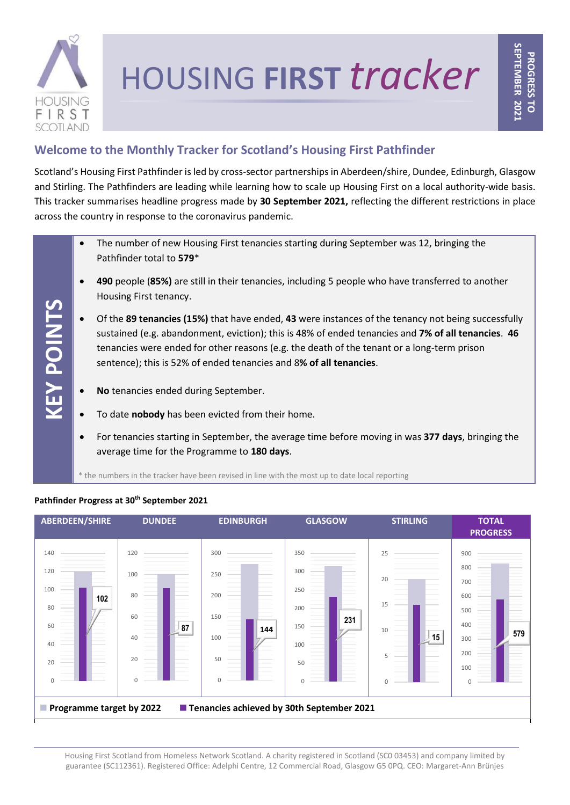

**KEY POINTS**

# HOUSING **FIRST** *tracker*

# **Welcome to the Monthly Tracker for Scotland's Housing First Pathfinder**

Scotland's Housing First Pathfinder is led by cross-sector partnerships in Aberdeen/shire, Dundee, Edinburgh, Glasgow and Stirling. The Pathfinders are leading while learning how to scale up Housing First on a local authority-wide basis. This tracker summarises headline progress made by **30 September 2021,** reflecting the different restrictions in place across the country in response to the coronavirus pandemic.

- The number of new Housing First tenancies starting during September was 12, bringing the Pathfinder total to **579**\*
- **490** people (**85%)** are still in their tenancies, including 5 people who have transferred to another Housing First tenancy.
- tenancies were ended for other reasons (e.g. the death of the tenant or a long-term prison<br>sentence); this is 52% of ended tenancies and 8**% of all tenancies**. • Of the **89 tenancies (15%)** that have ended, **43** were instances of the tenancy not being successfully sustained (e.g. abandonment, eviction); this is 48% of ended tenancies and **7% of all tenancies**. **46** sentence); this is 52% of ended tenancies and 8**% of all tenancies**.
- **No** tenancies ended during September.
- To date **nobody** has been evicted from their home.
- For tenancies starting in September, the average time before moving in was **377 days**, bringing the average time for the Programme to **180 days**.

\* the numbers in the tracker have been revised in line with the most up to date local reporting



# **Pathfinder Progress at 30th September 2021**

Housing First Scotland from Homeless Network Scotland. A charity registered in Scotland (SC0 03453) and company limited by guarantee (SC112361). Registered Office: Adelphi Centre, 12 Commercial Road, Glasgow G5 0PQ. CEO: Margaret-Ann Brünjes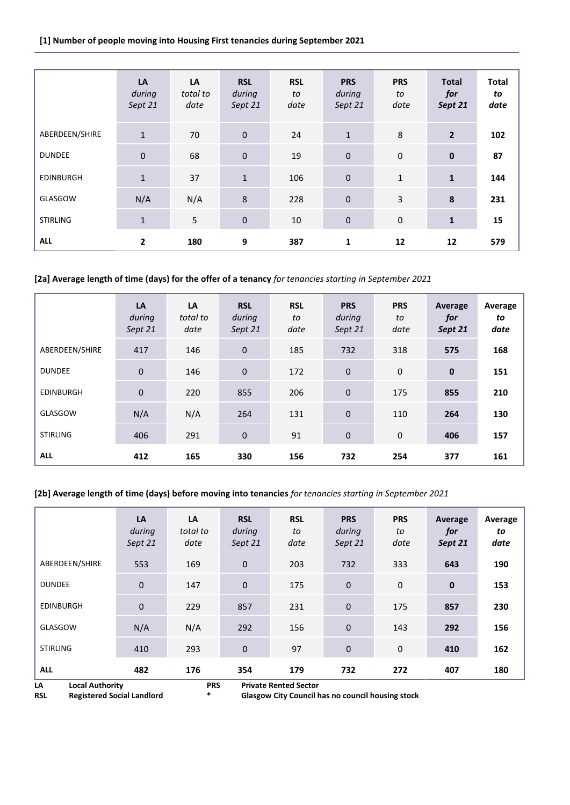#### **[1] Number of people moving into Housing First tenancies during September 2021**

|                  | LA<br>during<br>Sept 21 | LA<br>total to<br>date | <b>RSL</b><br>during<br>Sept 21 | <b>RSL</b><br>to<br>date | <b>PRS</b><br>during<br>Sept 21 | <b>PRS</b><br>to<br>date | <b>Total</b><br>for<br>Sept 21 | <b>Total</b><br>to<br>date |
|------------------|-------------------------|------------------------|---------------------------------|--------------------------|---------------------------------|--------------------------|--------------------------------|----------------------------|
| ABERDEEN/SHIRE   | $\mathbf{1}$            | 70                     | $\pmb{0}$                       | 24                       | $\mathbf{1}$                    | 8                        | $\overline{2}$                 | 102                        |
| <b>DUNDEE</b>    | $\mathbf 0$             | 68                     | $\pmb{0}$                       | 19                       | $\pmb{0}$                       | $\pmb{0}$                | $\pmb{0}$                      | 87                         |
| <b>EDINBURGH</b> | $\mathbf{1}$            | 37                     | $1\,$                           | 106                      | $\mathbf 0$                     | $\mathbf{1}$             | $\mathbf{1}$                   | 144                        |
| GLASGOW          | N/A                     | N/A                    | $\,8\,$                         | 228                      | $\mathbf 0$                     | 3                        | $\pmb{8}$                      | 231                        |
| <b>STIRLING</b>  | $\mathbf{1}$            | 5                      | $\pmb{0}$                       | 10                       | $\pmb{0}$                       | $\pmb{0}$                | $\mathbf{1}$                   | 15                         |
| <b>ALL</b>       | $\overline{2}$          | 180                    | 9                               | 387                      | 1                               | 12                       | 12                             | 579                        |

# **[2a] Average length of time (days) for the offer of a tenancy** *for tenancies starting in September 2021*

|                  | LA<br>during<br>Sept 21 | LA<br>total to<br>date | <b>RSL</b><br>during<br>Sept 21 | <b>RSL</b><br>to<br>date | <b>PRS</b><br>during<br>Sept 21 | <b>PRS</b><br>to<br>date | Average<br>for<br>Sept 21 | Average<br>to<br>date |
|------------------|-------------------------|------------------------|---------------------------------|--------------------------|---------------------------------|--------------------------|---------------------------|-----------------------|
| ABERDEEN/SHIRE   | 417                     | 146                    | $\mathbf 0$                     | 185                      | 732                             | 318                      | 575                       | 168                   |
| <b>DUNDEE</b>    | $\mathbf 0$             | 146                    | $\mathbf 0$                     | 172                      | $\mathbf 0$                     | $\mathbf 0$              | $\mathbf 0$               | 151                   |
| <b>EDINBURGH</b> | $\pmb{0}$               | 220                    | 855                             | 206                      | $\mathbf 0$                     | 175                      | 855                       | 210                   |
| GLASGOW          | N/A                     | N/A                    | 264                             | 131                      | $\mathbf 0$                     | 110                      | 264                       | 130                   |
| <b>STIRLING</b>  | 406                     | 291                    | $\mathbf 0$                     | 91                       | $\mathbf 0$                     | $\mathbf 0$              | 406                       | 157                   |
| <b>ALL</b>       | 412                     | 165                    | 330                             | 156                      | 732                             | 254                      | 377                       | 161                   |

# **[2b] Average length of time (days) before moving into tenancies** *for tenancies starting in September 2021*

|                                                                                                                                                                                                     | LA<br>during<br>Sept 21 | LA<br>total to<br>date | <b>RSL</b><br>during<br>Sept 21 | <b>RSL</b><br>to<br>date | <b>PRS</b><br>during<br>Sept 21 | <b>PRS</b><br>to<br>date | Average<br>for<br>Sept 21 | Average<br>to<br>date |
|-----------------------------------------------------------------------------------------------------------------------------------------------------------------------------------------------------|-------------------------|------------------------|---------------------------------|--------------------------|---------------------------------|--------------------------|---------------------------|-----------------------|
| ABERDEEN/SHIRE                                                                                                                                                                                      | 553                     | 169                    | 0                               | 203                      | 732                             | 333                      | 643                       | 190                   |
| <b>DUNDEE</b>                                                                                                                                                                                       | $\mathbf 0$             | 147                    | 0                               | 175                      | $\mathbf{0}$                    | $\mathbf 0$              | $\bf{0}$                  | 153                   |
| <b>EDINBURGH</b>                                                                                                                                                                                    | $\mathbf 0$             | 229                    | 857                             | 231                      | $\mathbf 0$                     | 175                      | 857                       | 230                   |
| GLASGOW                                                                                                                                                                                             | N/A                     | N/A                    | 292                             | 156                      | $\mathbf{0}$                    | 143                      | 292                       | 156                   |
| <b>STIRLING</b>                                                                                                                                                                                     | 410                     | 293                    | 0                               | 97                       | $\mathbf 0$                     | $\mathbf 0$              | 410                       | 162                   |
| <b>ALL</b>                                                                                                                                                                                          | 482                     | 176                    | 354                             | 179                      | 732                             | 272                      | 407                       | 180                   |
| LA<br><b>PRS</b><br><b>Private Rented Sector</b><br><b>Local Authority</b><br>$\ast$<br><b>Registered Social Landlord</b><br><b>Glasgow City Council has no council housing stock</b><br><b>RSL</b> |                         |                        |                                 |                          |                                 |                          |                           |                       |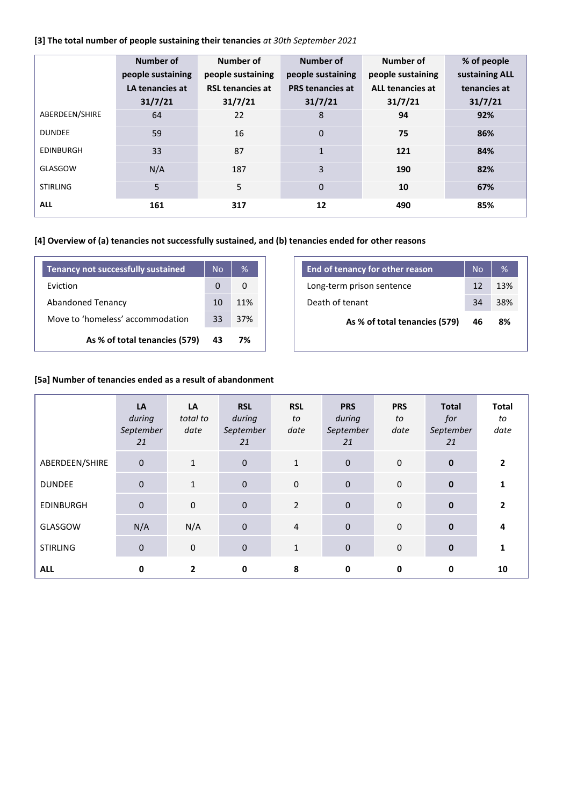# **[3] The total number of people sustaining their tenancies** *at 30th September 2021*

|                  | Number of<br>people sustaining<br>LA tenancies at<br>31/7/21 | Number of<br>people sustaining<br><b>RSL tenancies at</b><br>31/7/21 | Number of<br>people sustaining<br><b>PRS</b> tenancies at<br>31/7/21 | Number of<br>people sustaining<br>ALL tenancies at<br>31/7/21 | % of people<br>sustaining ALL<br>tenancies at<br>31/7/21 |
|------------------|--------------------------------------------------------------|----------------------------------------------------------------------|----------------------------------------------------------------------|---------------------------------------------------------------|----------------------------------------------------------|
| ABERDEEN/SHIRE   | 64                                                           | 22                                                                   | 8                                                                    | 94                                                            | 92%                                                      |
| <b>DUNDEE</b>    | 59                                                           | 16                                                                   | 0                                                                    | 75                                                            | 86%                                                      |
| <b>EDINBURGH</b> | 33                                                           | 87                                                                   | $\mathbf{1}$                                                         | 121                                                           | 84%                                                      |
| GLASGOW          | N/A                                                          | 187                                                                  | 3                                                                    | 190                                                           | 82%                                                      |
| <b>STIRLING</b>  | 5                                                            | 5                                                                    | $\Omega$                                                             | 10                                                            | 67%                                                      |
| <b>ALL</b>       | 161                                                          | 317                                                                  | 12                                                                   | 490                                                           | 85%                                                      |

# **[4] Overview of (a) tenancies not successfully sustained, and (b) tenancies ended for other reasons**

| <b>Tenancy not successfully sustained</b> | Nο | %   |
|-------------------------------------------|----|-----|
| Fviction                                  | O  | O   |
| <b>Abandoned Tenancy</b>                  | 10 | 11% |
| Move to 'homeless' accommodation          | 33 | 37% |
| As % of total tenancies (579)             | 43 | 7%  |

| End of tenancy for other reason | <b>No</b> | %   |
|---------------------------------|-----------|-----|
| Long-term prison sentence       | 12        | 13% |
| Death of tenant                 | 34        | 38% |
| As % of total tenancies (579)   | 46        | 8%  |
|                                 |           |     |

# **[5a] Number of tenancies ended as a result of abandonment**

|                  | LA<br>during<br>September<br>21 | LA<br>total to<br>date | <b>RSL</b><br>during<br>September<br>21 | <b>RSL</b><br>to<br>date | <b>PRS</b><br>during<br>September<br>21 | <b>PRS</b><br>to<br>date | <b>Total</b><br>for<br>September<br>21 | Total<br>to<br>date |
|------------------|---------------------------------|------------------------|-----------------------------------------|--------------------------|-----------------------------------------|--------------------------|----------------------------------------|---------------------|
| ABERDEEN/SHIRE   | $\pmb{0}$                       | $\mathbf{1}$           | $\mathbf 0$                             | $\mathbf{1}$             | $\pmb{0}$                               | $\pmb{0}$                | $\mathbf 0$                            | 2                   |
| <b>DUNDEE</b>    | $\pmb{0}$                       | $\mathbf{1}$           | $\mathbf{0}$                            | $\mathbf 0$              | $\mathbf 0$                             | $\mathbf 0$              | $\mathbf{0}$                           |                     |
| <b>EDINBURGH</b> | $\pmb{0}$                       | $\mathbf 0$            | $\mathbf 0$                             | $\overline{2}$           | $\pmb{0}$                               | $\mathbf 0$              | $\mathbf{0}$                           | 2                   |
| GLASGOW          | N/A                             | N/A                    | $\mathbf 0$                             | $\overline{4}$           | $\pmb{0}$                               | $\mathbf 0$              | $\mathbf{0}$                           | 4                   |
| <b>STIRLING</b>  | $\pmb{0}$                       | $\pmb{0}$              | $\bf 0$                                 | $\mathbf{1}$             | $\mathbf 0$                             | $\pmb{0}$                | $\mathbf{0}$                           |                     |
| <b>ALL</b>       | 0                               | $\mathbf{2}$           | $\mathbf 0$                             | 8                        | 0                                       | 0                        | 0                                      | 10                  |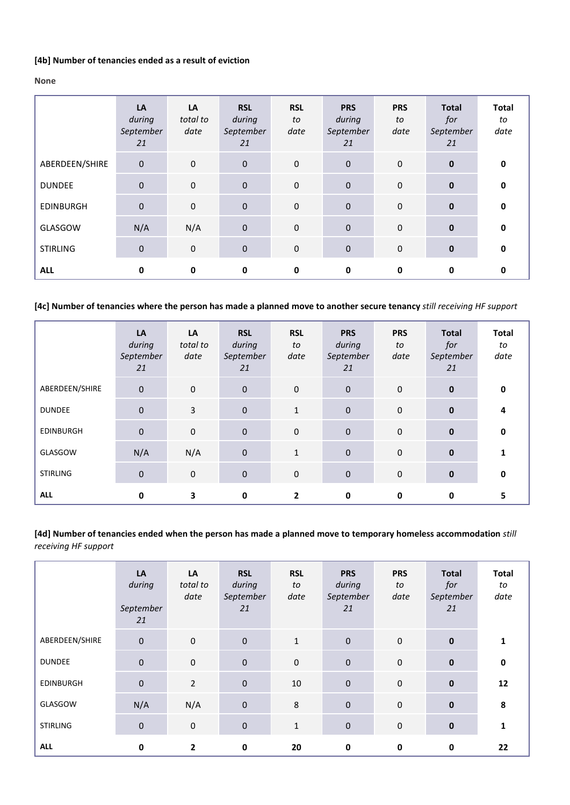#### **[4b] Number of tenancies ended as a result of eviction**

#### **None**

|                  | LA<br>during<br>September<br>21 | LA<br>total to<br>date | <b>RSL</b><br>during<br>September<br>21 | <b>RSL</b><br>to<br>date | <b>PRS</b><br>during<br>September<br>21 | <b>PRS</b><br>to<br>date | <b>Total</b><br>for<br>September<br>21 | <b>Total</b><br>to<br>date |
|------------------|---------------------------------|------------------------|-----------------------------------------|--------------------------|-----------------------------------------|--------------------------|----------------------------------------|----------------------------|
| ABERDEEN/SHIRE   | $\pmb{0}$                       | $\mathbf 0$            | $\mathbf 0$                             | $\mathbf 0$              | $\mathbf 0$                             | $\mathbf 0$              | $\mathbf 0$                            | $\mathbf{0}$               |
| <b>DUNDEE</b>    | $\pmb{0}$                       | $\mathbf 0$            | $\mathbf 0$                             | $\mathbf 0$              | $\mathbf 0$                             | $\mathbf 0$              | $\mathbf{0}$                           | $\mathbf{0}$               |
| <b>EDINBURGH</b> | $\pmb{0}$                       | $\mathbf 0$            | $\mathbf 0$                             | $\mathbf 0$              | $\bf 0$                                 | $\mathbf 0$              | $\mathbf{0}$                           | $\mathbf{0}$               |
| GLASGOW          | N/A                             | N/A                    | $\mathbf 0$                             | $\mathbf 0$              | $\bf 0$                                 | $\mathbf 0$              | $\mathbf 0$                            | $\mathbf{0}$               |
| <b>STIRLING</b>  | 0                               | $\mathbf 0$            | $\mathbf 0$                             | $\mathbf 0$              | $\mathbf 0$                             | $\mathbf 0$              | $\mathbf 0$                            | $\mathbf{0}$               |
| <b>ALL</b>       | 0                               | 0                      | $\mathbf 0$                             | 0                        | 0                                       | 0                        | 0                                      | 0                          |

**[4c] Number of tenancies where the person has made a planned move to another secure tenancy** *still receiving HF support*

|                  | LA<br>during<br>September<br>21 | LA<br>total to<br>date | <b>RSL</b><br>during<br>September<br>21 | <b>RSL</b><br>to<br>date | <b>PRS</b><br>during<br>September<br>21 | <b>PRS</b><br>to<br>date | <b>Total</b><br>for<br>September<br>21 | <b>Total</b><br>to<br>date |
|------------------|---------------------------------|------------------------|-----------------------------------------|--------------------------|-----------------------------------------|--------------------------|----------------------------------------|----------------------------|
| ABERDEEN/SHIRE   | $\pmb{0}$                       | $\mathbf 0$            | $\mathbf 0$                             | $\mathbf 0$              | $\pmb{0}$                               | $\mathbf 0$              | $\mathbf{0}$                           | 0                          |
| <b>DUNDEE</b>    | $\mathbf 0$                     | 3                      | $\mathbf{0}$                            | $\mathbf{1}$             | $\mathbf 0$                             | $\mathbf 0$              | $\mathbf{0}$                           |                            |
| <b>EDINBURGH</b> | $\pmb{0}$                       | $\mathbf{0}$           | $\mathbf 0$                             | $\mathbf{0}$             | $\mathbf 0$                             | $\mathbf 0$              | $\mathbf{0}$                           | $\mathbf{0}$               |
| GLASGOW          | N/A                             | N/A                    | $\mathbf 0$                             | $\mathbf{1}$             | $\mathbf 0$                             | $\mathbf 0$              | $\mathbf{0}$                           |                            |
| <b>STIRLING</b>  | 0                               | $\pmb{0}$              | $\pmb{0}$                               | $\mathbf 0$              | $\mathbf 0$                             | 0                        | $\mathbf 0$                            | <sup>0</sup>               |
| <b>ALL</b>       | 0                               | 3                      | 0                                       | $\mathbf{2}$             | 0                                       | 0                        | 0                                      | 5                          |

**[4d] Number of tenancies ended when the person has made a planned move to temporary homeless accommodation** *still receiving HF support*

|                  | LA<br>during<br>September<br>21 | LA<br>total to<br>date | <b>RSL</b><br>during<br>September<br>21 | <b>RSL</b><br>to<br>date | <b>PRS</b><br>during<br>September<br>21 | <b>PRS</b><br>to<br>date | <b>Total</b><br>for<br>September<br>21 | <b>Total</b><br>to<br>date |
|------------------|---------------------------------|------------------------|-----------------------------------------|--------------------------|-----------------------------------------|--------------------------|----------------------------------------|----------------------------|
| ABERDEEN/SHIRE   | $\pmb{0}$                       | $\mathbf 0$            | $\mathbf 0$                             | $\mathbf{1}$             | $\mathbf 0$                             | $\pmb{0}$                | $\mathbf 0$                            |                            |
| <b>DUNDEE</b>    | $\pmb{0}$                       | $\mathbf 0$            | $\mathbf 0$                             | 0                        | $\pmb{0}$                               | $\pmb{0}$                | $\pmb{0}$                              | 0                          |
| <b>EDINBURGH</b> | $\pmb{0}$                       | $\overline{2}$         | $\pmb{0}$                               | 10                       | $\pmb{0}$                               | $\pmb{0}$                | $\mathbf 0$                            | 12                         |
| GLASGOW          | N/A                             | N/A                    | $\pmb{0}$                               | 8                        | $\pmb{0}$                               | $\mathbf 0$              | $\pmb{0}$                              | 8                          |
| <b>STIRLING</b>  | $\pmb{0}$                       | $\mathbf 0$            | $\pmb{0}$                               | $\mathbf{1}$             | $\mathbf 0$                             | $\pmb{0}$                | $\bf{0}$                               | 1                          |
| <b>ALL</b>       | 0                               | 2                      | 0                                       | 20                       | 0                                       | 0                        | 0                                      | 22                         |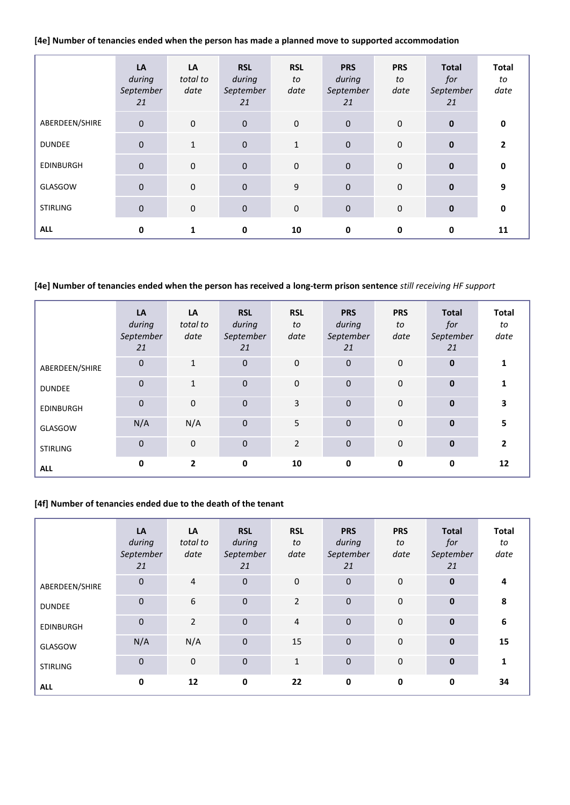**[4e] Number of tenancies ended when the person has made a planned move to supported accommodation**

|                  | LA<br>during<br>September<br>21 | LA<br>total to<br>date | <b>RSL</b><br>during<br>September<br>21 | <b>RSL</b><br>to<br>date | <b>PRS</b><br>during<br>September<br>21 | <b>PRS</b><br>to<br>date | <b>Total</b><br>for<br>September<br>21 | <b>Total</b><br>to<br>date |
|------------------|---------------------------------|------------------------|-----------------------------------------|--------------------------|-----------------------------------------|--------------------------|----------------------------------------|----------------------------|
| ABERDEEN/SHIRE   | $\pmb{0}$                       | $\mathbf 0$            | $\mathbf 0$                             | $\mathbf 0$              | $\mathbf 0$                             | $\mathbf 0$              | $\mathbf{0}$                           | 0                          |
| <b>DUNDEE</b>    | $\pmb{0}$                       | $\mathbf{1}$           | $\mathbf{0}$                            | $\mathbf{1}$             | $\mathbf 0$                             | $\mathbf 0$              | $\mathbf{0}$                           | $\mathbf{2}$               |
| <b>EDINBURGH</b> | $\pmb{0}$                       | $\mathbf{0}$           | $\mathbf 0$                             | $\mathbf 0$              | $\mathbf 0$                             | $\mathbf 0$              | $\mathbf{0}$                           | 0                          |
| GLASGOW          | $\pmb{0}$                       | $\mathbf{0}$           | $\mathbf 0$                             | 9                        | $\mathbf{0}$                            | $\mathbf 0$              | $\mathbf{0}$                           | 9                          |
| <b>STIRLING</b>  | 0                               | $\mathbf 0$            | $\pmb{0}$                               | $\mathbf 0$              | $\bf 0$                                 | $\mathbf 0$              | $\bf{0}$                               | 0                          |
| <b>ALL</b>       | 0                               | 1                      | 0                                       | 10                       | $\mathbf 0$                             | 0                        | 0                                      | 11                         |

#### **[4e] Number of tenancies ended when the person has received a long-term prison sentence** *still receiving HF support*

|                  | LA<br>during<br>September<br>21 | LA<br>total to<br>date | <b>RSL</b><br>during<br>September<br>21 | <b>RSL</b><br>to<br>date | <b>PRS</b><br>during<br>September<br>21 | <b>PRS</b><br>to<br>date | <b>Total</b><br>for<br>September<br>21 | <b>Total</b><br>to<br>date |
|------------------|---------------------------------|------------------------|-----------------------------------------|--------------------------|-----------------------------------------|--------------------------|----------------------------------------|----------------------------|
| ABERDEEN/SHIRE   | 0                               | $\mathbf{1}$           | $\mathbf{0}$                            | $\mathbf 0$              | $\mathbf{0}$                            | $\mathbf 0$              | $\mathbf{0}$                           | 1                          |
| <b>DUNDEE</b>    | 0                               | $\mathbf{1}$           | $\mathbf{0}$                            | $\mathbf{0}$             | $\mathbf{0}$                            | $\mathbf 0$              | $\mathbf{0}$                           |                            |
| <b>EDINBURGH</b> | 0                               | $\mathbf 0$            | $\mathbf 0$                             | 3                        | $\mathbf 0$                             | $\mathbf 0$              | $\mathbf{0}$                           | 3                          |
| GLASGOW          | N/A                             | N/A                    | $\mathbf{0}$                            | 5                        | $\mathbf 0$                             | $\pmb{0}$                | $\mathbf{0}$                           | 5                          |
| <b>STIRLING</b>  | 0                               | $\mathbf 0$            | $\mathbf 0$                             | $\overline{2}$           | $\mathbf 0$                             | $\mathbf 0$              | $\mathbf{0}$                           | $\mathbf{2}$               |
| <b>ALL</b>       | 0                               | $\mathbf{2}$           | $\mathbf 0$                             | 10                       | $\bf{0}$                                | $\mathbf 0$              | 0                                      | 12                         |

#### **[4f] Number of tenancies ended due to the death of the tenant**

|                  | LA<br>during<br>September<br>21 | LA<br>total to<br>date | <b>RSL</b><br>during<br>September<br>21 | <b>RSL</b><br>to<br>date | <b>PRS</b><br>during<br>September<br>21 | <b>PRS</b><br>to<br>date | <b>Total</b><br>for<br>September<br>21 | <b>Total</b><br>to<br>date |
|------------------|---------------------------------|------------------------|-----------------------------------------|--------------------------|-----------------------------------------|--------------------------|----------------------------------------|----------------------------|
| ABERDEEN/SHIRE   | $\pmb{0}$                       | $\overline{4}$         | $\mathbf 0$                             | $\mathbf 0$              | $\mathbf{0}$                            | $\mathbf{0}$             | $\mathbf{0}$                           | 4                          |
| <b>DUNDEE</b>    | $\mathbf{0}$                    | 6                      | $\mathbf{0}$                            | $\overline{2}$           | $\mathbf 0$                             | $\mathbf 0$              | $\mathbf{0}$                           | 8                          |
| <b>EDINBURGH</b> | $\pmb{0}$                       | $\overline{2}$         | $\mathbf 0$                             | $\overline{4}$           | $\mathbf 0$                             | $\mathbf 0$              | $\mathbf{0}$                           | 6                          |
| GLASGOW          | N/A                             | N/A                    | $\mathbf 0$                             | 15                       | $\mathbf 0$                             | $\mathbf 0$              | $\mathbf{0}$                           | 15                         |
| <b>STIRLING</b>  | $\mathbf 0$                     | $\mathbf 0$            | $\mathbf 0$                             | $\mathbf{1}$             | $\Omega$                                | $\Omega$                 | $\mathbf{0}$                           | 1                          |
| <b>ALL</b>       | $\mathbf 0$                     | 12                     | $\mathbf 0$                             | 22                       | $\mathbf 0$                             | $\mathbf 0$              | $\mathbf 0$                            | 34                         |